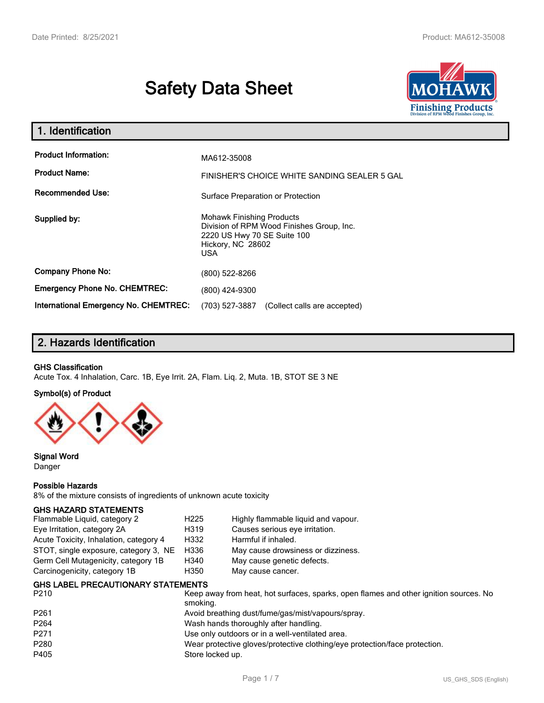# **Safety Data Sheet**



| 1. Identification                                   |                                                                                                                                           |
|-----------------------------------------------------|-------------------------------------------------------------------------------------------------------------------------------------------|
| <b>Product Information:</b><br><b>Product Name:</b> | MA612-35008<br>FINISHER'S CHOICE WHITE SANDING SEALER 5 GAL                                                                               |
| <b>Recommended Use:</b>                             | Surface Preparation or Protection                                                                                                         |
| Supplied by:                                        | <b>Mohawk Finishing Products</b><br>Division of RPM Wood Finishes Group, Inc.<br>2220 US Hwy 70 SE Suite 100<br>Hickory, NC 28602<br>USA. |
| <b>Company Phone No:</b>                            | (800) 522-8266                                                                                                                            |
| <b>Emergency Phone No. CHEMTREC:</b>                | (800) 424-9300                                                                                                                            |
| <b>International Emergency No. CHEMTREC:</b>        | (703) 527-3887<br>(Collect calls are accepted)                                                                                            |

# **2. Hazards Identification**

### **GHS Classification**

Acute Tox. 4 Inhalation, Carc. 1B, Eye Irrit. 2A, Flam. Liq. 2, Muta. 1B, STOT SE 3 NE

#### **Symbol(s) of Product**



**Signal Word** Danger

#### **Possible Hazards**

8% of the mixture consists of ingredients of unknown acute toxicity

#### **GHS HAZARD STATEMENTS**

| H <sub>225</sub>                              | Highly flammable liquid and vapour. |
|-----------------------------------------------|-------------------------------------|
| H319                                          | Causes serious eye irritation.      |
| H332                                          | Harmful if inhaled.                 |
| STOT, single exposure, category 3, NE<br>H336 | May cause drowsiness or dizziness.  |
| H340                                          | May cause genetic defects.          |
| H350                                          | May cause cancer.                   |
|                                               |                                     |

| <b>GHS LABEL PRECAUTIONARY STATEMENTS</b> |  |
|-------------------------------------------|--|
|                                           |  |

| P <sub>210</sub> | Keep away from heat, hot surfaces, sparks, open flames and other ignition sources. No<br>smoking. |
|------------------|---------------------------------------------------------------------------------------------------|
| P <sub>261</sub> | Avoid breathing dust/fume/gas/mist/vapours/spray.                                                 |
| P <sub>264</sub> | Wash hands thoroughly after handling.                                                             |
| P <sub>271</sub> | Use only outdoors or in a well-ventilated area.                                                   |
| P280             | Wear protective gloves/protective clothing/eye protection/face protection.                        |
| P405             | Store locked up.                                                                                  |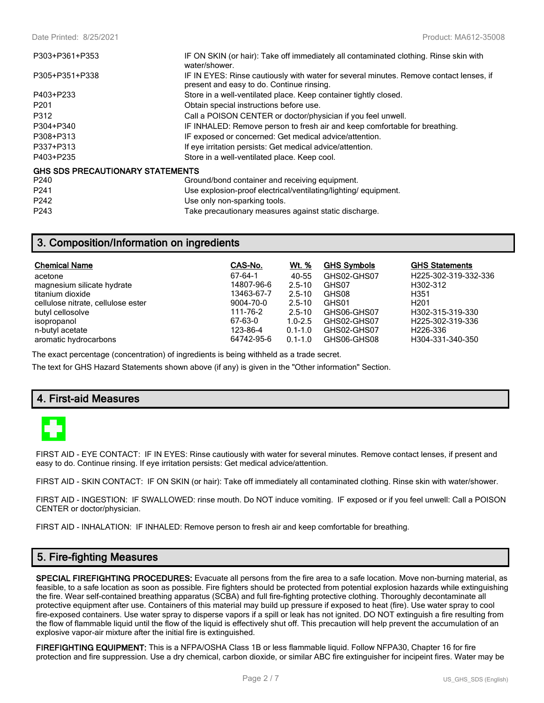| P303+P361+P353                          | IF ON SKIN (or hair): Take off immediately all contaminated clothing. Rinse skin with<br>water/shower.                              |
|-----------------------------------------|-------------------------------------------------------------------------------------------------------------------------------------|
| P305+P351+P338                          | IF IN EYES: Rinse cautiously with water for several minutes. Remove contact lenses, if<br>present and easy to do. Continue rinsing. |
| P403+P233                               | Store in a well-ventilated place. Keep container tightly closed.                                                                    |
| P <sub>201</sub>                        | Obtain special instructions before use.                                                                                             |
| P312                                    | Call a POISON CENTER or doctor/physician if you feel unwell.                                                                        |
| P304+P340                               | IF INHALED: Remove person to fresh air and keep comfortable for breathing.                                                          |
| P308+P313                               | IF exposed or concerned: Get medical advice/attention.                                                                              |
| P337+P313                               | If eye irritation persists: Get medical advice/attention.                                                                           |
| P403+P235                               | Store in a well-ventilated place. Keep cool.                                                                                        |
| <b>GHS SDS PRECAUTIONARY STATEMENTS</b> |                                                                                                                                     |
| P <sub>240</sub>                        | Ground/bond container and receiving equipment.                                                                                      |
| P <sub>241</sub>                        | Use explosion-proof electrical/ventilating/lighting/ equipment.                                                                     |
| P <sub>242</sub>                        | Use only non-sparking tools.                                                                                                        |

# **3. Composition/Information on ingredients**

| <b>Chemical Name</b>               | CAS-No.    | <u>Wt. %</u> | <b>GHS Symbols</b> | <b>GHS Statements</b> |
|------------------------------------|------------|--------------|--------------------|-----------------------|
| acetone                            | 67-64-1    | 40-55        | GHS02-GHS07        | H225-302-319-332-336  |
| magnesium silicate hydrate         | 14807-96-6 | $2.5 - 10$   | GHS07              | H302-312              |
| titanium dioxide                   | 13463-67-7 | $2.5 - 10$   | GHS08              | H351                  |
| cellulose nitrate, cellulose ester | 9004-70-0  | $2.5 - 10$   | GHS01              | H <sub>201</sub>      |
| butyl cellosolve                   | 111-76-2   | $2.5 - 10$   | GHS06-GHS07        | H302-315-319-330      |
| isopropanol                        | 67-63-0    | $1.0 - 2.5$  | GHS02-GHS07        | H225-302-319-336      |
| n-butyl acetate                    | 123-86-4   | $0.1 - 1.0$  | GHS02-GHS07        | H <sub>226</sub> -336 |
| aromatic hydrocarbons              | 64742-95-6 | $0.1 - 1.0$  | GHS06-GHS08        | H304-331-340-350      |

The exact percentage (concentration) of ingredients is being withheld as a trade secret.

The text for GHS Hazard Statements shown above (if any) is given in the "Other information" Section.

P243 Take precautionary measures against static discharge.

# **4. First-aid Measures**



FIRST AID - EYE CONTACT: IF IN EYES: Rinse cautiously with water for several minutes. Remove contact lenses, if present and easy to do. Continue rinsing. If eye irritation persists: Get medical advice/attention.

FIRST AID - SKIN CONTACT: IF ON SKIN (or hair): Take off immediately all contaminated clothing. Rinse skin with water/shower.

FIRST AID - INGESTION: IF SWALLOWED: rinse mouth. Do NOT induce vomiting. IF exposed or if you feel unwell: Call a POISON CENTER or doctor/physician.

FIRST AID - INHALATION: IF INHALED: Remove person to fresh air and keep comfortable for breathing.

## **5. Fire-fighting Measures**

**SPECIAL FIREFIGHTING PROCEDURES:** Evacuate all persons from the fire area to a safe location. Move non-burning material, as feasible, to a safe location as soon as possible. Fire fighters should be protected from potential explosion hazards while extinguishing the fire. Wear self-contained breathing apparatus (SCBA) and full fire-fighting protective clothing. Thoroughly decontaminate all protective equipment after use. Containers of this material may build up pressure if exposed to heat (fire). Use water spray to cool fire-exposed containers. Use water spray to disperse vapors if a spill or leak has not ignited. DO NOT extinguish a fire resulting from the flow of flammable liquid until the flow of the liquid is effectively shut off. This precaution will help prevent the accumulation of an explosive vapor-air mixture after the initial fire is extinguished.

**FIREFIGHTING EQUIPMENT:** This is a NFPA/OSHA Class 1B or less flammable liquid. Follow NFPA30, Chapter 16 for fire protection and fire suppression. Use a dry chemical, carbon dioxide, or similar ABC fire extinguisher for incipeint fires. Water may be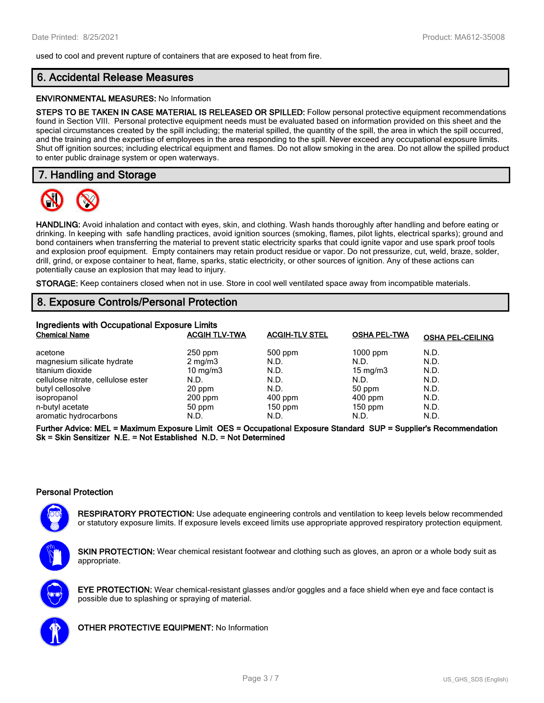used to cool and prevent rupture of containers that are exposed to heat from fire.

# **6. Accidental Release Measures**

#### **ENVIRONMENTAL MEASURES:** No Information

**STEPS TO BE TAKEN IN CASE MATERIAL IS RELEASED OR SPILLED:** Follow personal protective equipment recommendations found in Section VIII. Personal protective equipment needs must be evaluated based on information provided on this sheet and the special circumstances created by the spill including; the material spilled, the quantity of the spill, the area in which the spill occurred, and the training and the expertise of employees in the area responding to the spill. Never exceed any occupational exposure limits. Shut off ignition sources; including electrical equipment and flames. Do not allow smoking in the area. Do not allow the spilled product to enter public drainage system or open waterways.

## **7. Handling and Storage**



**HANDLING:** Avoid inhalation and contact with eyes, skin, and clothing. Wash hands thoroughly after handling and before eating or drinking. In keeping with safe handling practices, avoid ignition sources (smoking, flames, pilot lights, electrical sparks); ground and bond containers when transferring the material to prevent static electricity sparks that could ignite vapor and use spark proof tools and explosion proof equipment. Empty containers may retain product residue or vapor. Do not pressurize, cut, weld, braze, solder, drill, grind, or expose container to heat, flame, sparks, static electricity, or other sources of ignition. Any of these actions can potentially cause an explosion that may lead to injury.

**STORAGE:** Keep containers closed when not in use. Store in cool well ventilated space away from incompatible materials.

# **8. Exposure Controls/Personal Protection**

| Ingredients with Occupational Exposure Limits |                      |                       |                     |                         |
|-----------------------------------------------|----------------------|-----------------------|---------------------|-------------------------|
| <b>Chemical Name</b>                          | <b>ACGIH TLV-TWA</b> | <b>ACGIH-TLV STEL</b> | <b>OSHA PEL-TWA</b> | <b>OSHA PEL-CEILING</b> |
| acetone                                       | $250$ ppm            | 500 ppm               | $1000$ ppm          | N.D.                    |
| magnesium silicate hydrate                    | $2 \text{ mg/m}$     | N.D.                  | N.D.                | N.D.                    |
| titanium dioxide                              | $10 \text{ mg/m}$    | N.D.                  | $15 \text{ mg/m}$   | N.D.                    |
| cellulose nitrate, cellulose ester            | N.D.                 | N.D.                  | N.D.                | N.D.                    |
| butyl cellosolve                              | 20 ppm               | N.D.                  | 50 ppm              | N.D.                    |
| isopropanol                                   | $200$ ppm            | $400$ ppm             | $400$ ppm           | N.D.                    |
| n-butyl acetate                               | 50 ppm               | $150$ ppm             | $150$ ppm           | N.D.                    |
| aromatic hydrocarbons                         | N.D.                 | N.D.                  | N.D.                | N.D.                    |

**Further Advice: MEL = Maximum Exposure Limit OES = Occupational Exposure Standard SUP = Supplier's Recommendation Sk = Skin Sensitizer N.E. = Not Established N.D. = Not Determined**

#### **Personal Protection**

**RESPIRATORY PROTECTION:** Use adequate engineering controls and ventilation to keep levels below recommended or statutory exposure limits. If exposure levels exceed limits use appropriate approved respiratory protection equipment.

**SKIN PROTECTION:** Wear chemical resistant footwear and clothing such as gloves, an apron or a whole body suit as appropriate.





**OTHER PROTECTIVE EQUIPMENT:** No Information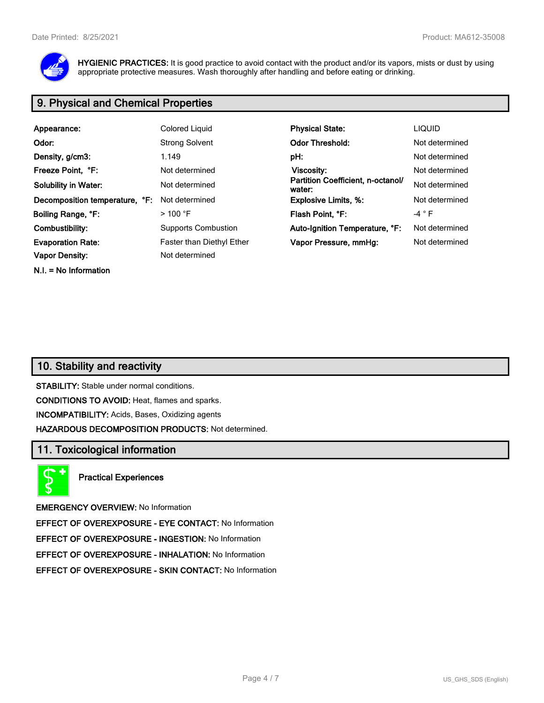

**HYGIENIC PRACTICES:** It is good practice to avoid contact with the product and/or its vapors, mists or dust by using appropriate protective measures. Wash thoroughly after handling and before eating or drinking.

# **9. Physical and Chemical Properties**

| Appearance:                    | Colored Liquid                   | <b>Physical State:</b>                      | <b>LIQUID</b>  |
|--------------------------------|----------------------------------|---------------------------------------------|----------------|
| Odor:                          | <b>Strong Solvent</b>            | <b>Odor Threshold:</b>                      | Not determined |
| Density, g/cm3:                | 1.149                            | pH:                                         | Not determined |
| Freeze Point, °F:              | Not determined                   | Viscosity:                                  | Not determined |
| <b>Solubility in Water:</b>    | Not determined                   | Partition Coefficient, n-octanol/<br>water: | Not determined |
| Decomposition temperature, °F: | Not determined                   | <b>Explosive Limits, %:</b>                 | Not determined |
| Boiling Range, °F:             | $>$ 100 °F                       | Flash Point. °F:                            | -4 ° F         |
| Combustibility:                | <b>Supports Combustion</b>       | Auto-Ignition Temperature, °F:              | Not determined |
| <b>Evaporation Rate:</b>       | <b>Faster than Diethyl Ether</b> | Vapor Pressure, mmHg:                       | Not determined |
| <b>Vapor Density:</b>          | Not determined                   |                                             |                |
| $N.I. = No Information$        |                                  |                                             |                |

# **10. Stability and reactivity**

**STABILITY:** Stable under normal conditions. **CONDITIONS TO AVOID:** Heat, flames and sparks. **INCOMPATIBILITY:** Acids, Bases, Oxidizing agents **HAZARDOUS DECOMPOSITION PRODUCTS:** Not determined.

# **11. Toxicological information**

**Practical Experiences**

**EMERGENCY OVERVIEW:** No Information

**EFFECT OF OVEREXPOSURE - EYE CONTACT:** No Information

**EFFECT OF OVEREXPOSURE - INGESTION:** No Information

**EFFECT OF OVEREXPOSURE - INHALATION:** No Information

**EFFECT OF OVEREXPOSURE - SKIN CONTACT:** No Information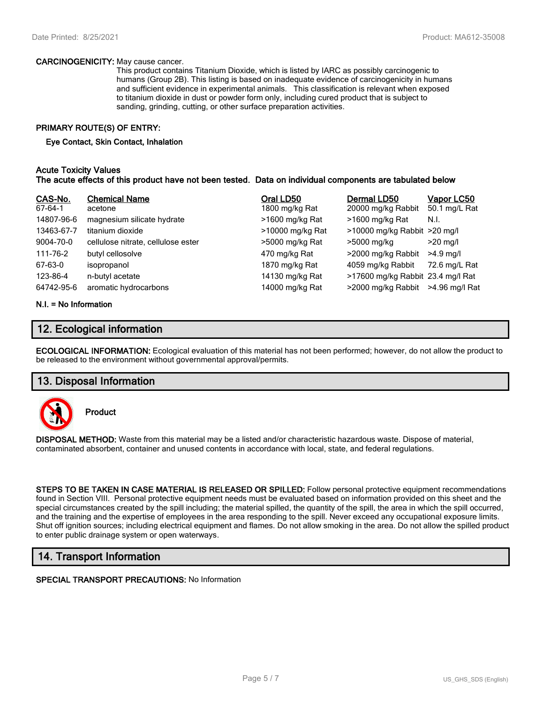#### **CARCINOGENICITY:** May cause cancer.

This product contains Titanium Dioxide, which is listed by IARC as possibly carcinogenic to humans (Group 2B). This listing is based on inadequate evidence of carcinogenicity in humans and sufficient evidence in experimental animals. This classification is relevant when exposed to titanium dioxide in dust or powder form only, including cured product that is subject to sanding, grinding, cutting, or other surface preparation activities.

## **PRIMARY ROUTE(S) OF ENTRY:**

#### **Eye Contact, Skin Contact, Inhalation**

#### **Acute Toxicity Values The acute effects of this product have not been tested. Data on individual components are tabulated below**

| CAS-No.<br>67-64-1 | <b>Chemical Name</b><br>acetone    | Oral LD50<br>1800 mg/kg Rat | Dermal LD50<br>20000 mg/kg Rabbit | Vapor LC50<br>50.1 mg/L Rat |
|--------------------|------------------------------------|-----------------------------|-----------------------------------|-----------------------------|
| 14807-96-6         | magnesium silicate hydrate         | >1600 mg/kg Rat             | >1600 mg/kg Rat                   | N.I.                        |
| 13463-67-7         | titanium dioxide                   | >10000 mg/kg Rat            | >10000 mg/kg Rabbit >20 mg/l      |                             |
| 9004-70-0          | cellulose nitrate, cellulose ester | >5000 mg/kg Rat             | >5000 mg/kg                       | $>20$ mg/l                  |
| 111-76-2           | butyl cellosolve                   | 470 mg/kg Rat               | >2000 mg/kg Rabbit                | $>4.9$ mg/l                 |
| 67-63-0            | isopropanol                        | 1870 mg/kg Rat              | 4059 mg/kg Rabbit                 | 72.6 mg/L Rat               |
| 123-86-4           | n-butyl acetate                    | 14130 mg/kg Rat             | >17600 mg/kg Rabbit 23.4 mg/l Rat |                             |
| 64742-95-6         | aromatic hydrocarbons              | 14000 mg/kg Rat             | >2000 mg/kg Rabbit                | >4.96 mg/l Rat              |

#### **N.I. = No Information**

## **12. Ecological information**

**ECOLOGICAL INFORMATION:** Ecological evaluation of this material has not been performed; however, do not allow the product to be released to the environment without governmental approval/permits.

## **13. Disposal Information**



**Product**

**DISPOSAL METHOD:** Waste from this material may be a listed and/or characteristic hazardous waste. Dispose of material, contaminated absorbent, container and unused contents in accordance with local, state, and federal regulations.

**STEPS TO BE TAKEN IN CASE MATERIAL IS RELEASED OR SPILLED:** Follow personal protective equipment recommendations found in Section VIII. Personal protective equipment needs must be evaluated based on information provided on this sheet and the special circumstances created by the spill including; the material spilled, the quantity of the spill, the area in which the spill occurred, and the training and the expertise of employees in the area responding to the spill. Never exceed any occupational exposure limits. Shut off ignition sources; including electrical equipment and flames. Do not allow smoking in the area. Do not allow the spilled product to enter public drainage system or open waterways.

# **14. Transport Information**

**SPECIAL TRANSPORT PRECAUTIONS:** No Information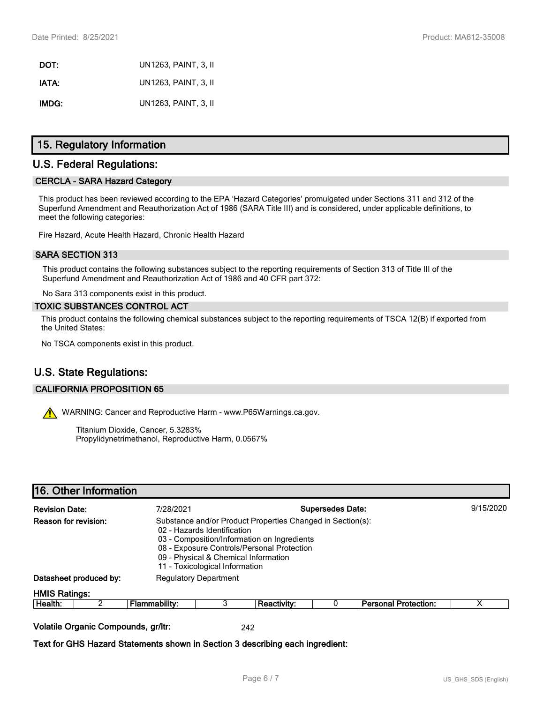| DOT:  | UN1263, PAINT, 3, II |
|-------|----------------------|
| IATA: | UN1263, PAINT, 3, II |
| IMDG: | UN1263, PAINT, 3, II |

# **15. Regulatory Information**

# **U.S. Federal Regulations:**

#### **CERCLA - SARA Hazard Category**

This product has been reviewed according to the EPA 'Hazard Categories' promulgated under Sections 311 and 312 of the Superfund Amendment and Reauthorization Act of 1986 (SARA Title III) and is considered, under applicable definitions, to meet the following categories:

Fire Hazard, Acute Health Hazard, Chronic Health Hazard

#### **SARA SECTION 313**

This product contains the following substances subject to the reporting requirements of Section 313 of Title III of the Superfund Amendment and Reauthorization Act of 1986 and 40 CFR part 372:

No Sara 313 components exist in this product.

#### **TOXIC SUBSTANCES CONTROL ACT**

This product contains the following chemical substances subject to the reporting requirements of TSCA 12(B) if exported from the United States:

No TSCA components exist in this product.

# **U.S. State Regulations:**

#### **CALIFORNIA PROPOSITION 65**

WARNING: Cancer and Reproductive Harm - www.P65Warnings.ca.gov.

Titanium Dioxide, Cancer, 5.3283% Propylidynetrimethanol, Reproductive Harm, 0.0567%

## **16. Other Information**

| <b>Revision Date:</b> |                                     | <b>Supersedes Date:</b><br>7/28/2021                                                                                                                                                                                                                             |   |                    | 9/15/2020                   |   |
|-----------------------|-------------------------------------|------------------------------------------------------------------------------------------------------------------------------------------------------------------------------------------------------------------------------------------------------------------|---|--------------------|-----------------------------|---|
| Reason for revision:  |                                     | Substance and/or Product Properties Changed in Section(s):<br>02 - Hazards Identification<br>03 - Composition/Information on Ingredients<br>08 - Exposure Controls/Personal Protection<br>09 - Physical & Chemical Information<br>11 - Toxicological Information |   |                    |                             |   |
|                       | Datasheet produced by:              | <b>Regulatory Department</b>                                                                                                                                                                                                                                     |   |                    |                             |   |
| <b>HMIS Ratings:</b>  |                                     |                                                                                                                                                                                                                                                                  |   |                    |                             |   |
| Health:               |                                     | <b>Flammability:</b>                                                                                                                                                                                                                                             | 3 | <b>Reactivity:</b> | <b>Personal Protection:</b> | х |
|                       | Volatile Organic Compounds, gr/ltr: |                                                                                                                                                                                                                                                                  |   | 242                |                             |   |

**Text for GHS Hazard Statements shown in Section 3 describing each ingredient:**